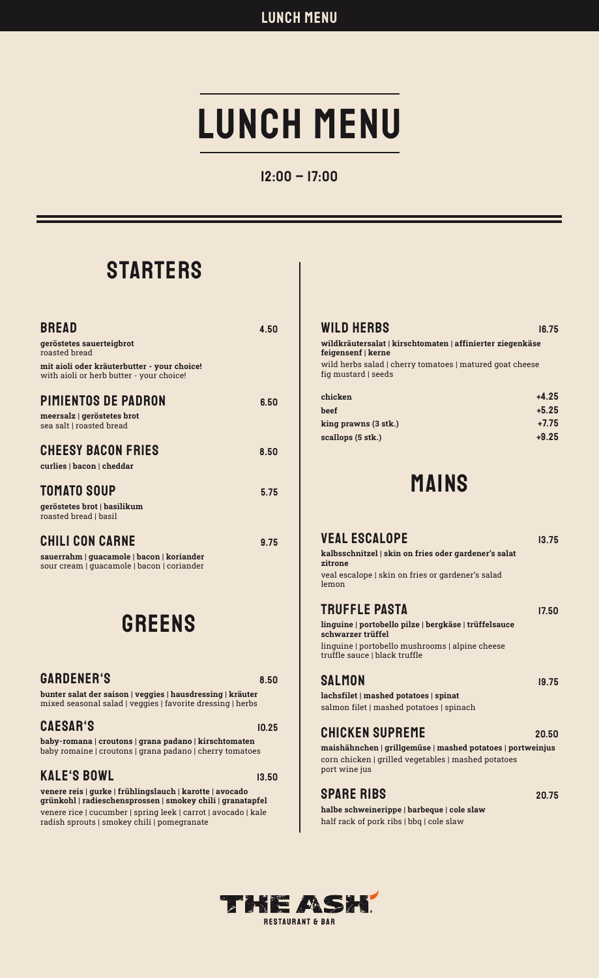# LUNCH MENU

## 12:00 – 17:00

## **STARTERS**

| <b>BREAD</b><br>geröstetes sauerteigbrot<br>roasted bread                                                         | 4.50 |
|-------------------------------------------------------------------------------------------------------------------|------|
| mit aioli oder kräuterbutter - your choice!<br>with aioli or herb butter - your choice!                           |      |
| <b>PIMIENTOS DE PADRON</b><br>meersalz   geröstetes brot<br>sea salt   roasted bread                              | 6.50 |
| <b>CHEESY BACON FRIES</b><br>curlies   bacon   cheddar                                                            | 8.50 |
| <b>TOMATO SOUP</b><br>geröstetes brot   basilikum<br>roasted bread   basil                                        | 5.75 |
| <b>CHILI CON CARNE</b><br>sauerrahm   guacamole   bacon   koriander<br>sour cream   quacamole   bacon   coriander | 9.75 |

## GREENS

## GARDENER'S 8.50

bunter salat der saison | veggies | hausdressing | kräuter mixed seasonal salad | veggies | favorite dressing | herbs

### CAESAR'S 10.25

baby-romana | croutons | grana padano | kirschtomaten baby romaine | croutons | grana padano | cherry tomatoes

## KALE'S BOWL 13.50

venere reis | gurke | frühlingslauch | karotte | avocado grünkohl | radieschensprossen | smokey chili | granatapfel venere rice | cucumber | spring leek | carrot | avocado | kale radish sprouts | smokey chili | pomegranate

### WILD HERBS 16.75

### wildkräutersalat | kirschtomaten | affinierter ziegenkäse feigensenf | kerne

wild herbs salad | cherry tomatoes | matured goat cheese fig mustard | seeds

| $+4.25$ |
|---------|
| $+5.25$ |
| $+7.75$ |
| $+9.25$ |
|         |

## MAINS

### VEAL ESCALOPE 13.75 kalbsschnitzel | skin on fries oder gardener's salat zitrone veal escalope | skin on fries or gardener's salad lemon TRUFFLE PASTA 17.50 linguine | portobello pilze | bergkäse | trüffelsauce schwarzer trüffel linguine | portobello mushrooms | alpine cheese

truffle sauce | black truffle

| SALMON                                | 19.75 |
|---------------------------------------|-------|
| lachefilet   mached notatoes   sninat |       |

lachsfilet | mashed potatoes | spinat salmon filet | mashed potatoes | spinach

## CHICKEN SUPREME 20.50

maishähnchen | grillgemüse | mashed potatoes | portweinjus corn chicken | grilled vegetables | mashed potatoes port wine jus

## SPARE RIBS 20.75

halbe schweinerippe | barbeque | cole slaw half rack of pork ribs | bbq | cole slaw



THE ASH **RESTAURANT & BAR**